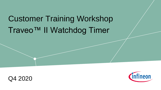# Customer Training Workshop Traveo™ II Watchdog Timer



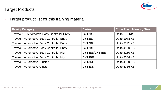

#### Target Products

#### $\rightarrow$  Target product list for this training material

| <b>Family Category</b>                            | <b>Series</b> | <b>Code Flash Memory Size</b> |
|---------------------------------------------------|---------------|-------------------------------|
| Traveo™ Il Automotive Body Controller Entry       | CYT2B6        | Up to 576 KB                  |
| <b>Traveo II Automotive Body Controller Entry</b> | CYT2B7        | Up to 1088 KB                 |
| Traveo II Automotive Body Controller Entry        | CYT2B9        | Up to 2112 KB                 |
| Traveo II Automotive Body Controller Entry        | CYT2BL        | Up to 4160 KB                 |
| Traveo II Automotive Body Controller High         | CYT3BB/CYT4BB | Up to 4160 KB                 |
| Traveo II Automotive Body Controller High         | CYT4BF        | Up to 8384 KB                 |
| <b>Traveo II Automotive Cluster</b>               | CYT3DL        | Up to 4160 KB                 |
| <b>Traveo II Automotive Cluster</b>               | CYT4DN        | Up to 6336 KB                 |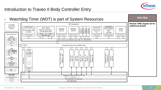

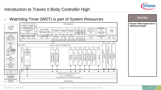

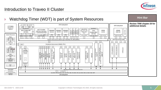

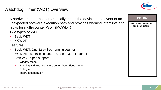

# Watchdog Timer (WDT) Overview

- A hardware timer that automatically resets the device in the event of an unexpected software execution path and provides warning interrupts and faults for multi-counter WDT (MCWDT)
- Two types of WDT
	- Basic WDT
	- MCWDT
- **Features** 
	- Basic WDT: One 32-bit free-running counter
	- MCWDT: Two 16-bit counters and one 32-bit counter
	- Both WDT types support:
		- Window mode
		- Running and freezing timers during DeepSleep mode
		- Debug mode
		- Interrupt generation

| <b>Hint Bar</b>                                          |
|----------------------------------------------------------|
| <b>Review TRM section 20.1</b><br>for additional details |
|                                                          |
|                                                          |
|                                                          |
|                                                          |
|                                                          |
|                                                          |
|                                                          |
|                                                          |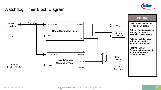

### Watchdog Timer Block Diagram

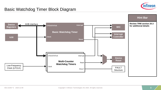

#### Basic Watchdog Timer Block Diagram

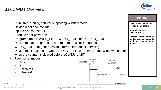– Device reset and interrupt Input clock source: ILO0 – Enabled after power-on

**Features** 



Interrupt

**Basic Watchdog Time** 

Reset

# SERVICE (Write '1' from Firmware)

ILO0 CTL\_ENABLE Debug\_active=

- Four power modes
	- Active
	- Sleep
	- DeepSleep
	- Hibernate<sup>1</sup>

Copyright © Infineon Technologies AG 2020. All rights reserved. 9

**WDT (32-bit Up-Counter)** WDT\_CNT

Count

32

Count < LOWER\_LIMI

WDT\_CONFIG Warn Upper I<br>Action Action / Lower Action

 $\text{unit} \geq 0$ PPER\_LIM

Count == WARN\_LIMIT

EN Count = 0

Debug



when the counter is cleared before LOWER\_LIMIT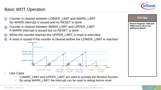#### Basic WDT Operation





- LOWER\_LIMIT and UPPER\_LIMIT are used to activate the Window function
- By using WARN\_LIMIT, the interrupt can be used to debug before reset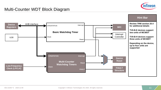

#### Multi-Counter WDT Block Diagram

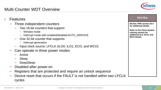#### Multi-Counter WDT Overview



| <b>Features</b>                                                                                                                                                                                                                                                                                                                           | <b>Hint Bar</b>                                                                                                                                                        |
|-------------------------------------------------------------------------------------------------------------------------------------------------------------------------------------------------------------------------------------------------------------------------------------------------------------------------------------------|------------------------------------------------------------------------------------------------------------------------------------------------------------------------|
| Three independent counters<br>Two 16-bit counters that support:<br>- Window mode<br>Interrupt mode with enabled/disabled AUTO_SERVICE<br>-<br>One 32-bit counter that supports:<br>- Interrupt generation<br>Input clock source: LFCLK (ILO0, ILO1, ECO, and WCO)<br>Can operate in three power modes<br>- Active<br>- Sleep<br>DeepSleep | <b>Review TRM section 20.4</b><br>for additional details<br><b>Refer to the Clock System</b><br>training section for<br>additional ILO, ECO, and<br><b>WCO details</b> |
| Disabled after power-on                                                                                                                                                                                                                                                                                                                   |                                                                                                                                                                        |
| Registers that are protected and require an unlock sequence                                                                                                                                                                                                                                                                               |                                                                                                                                                                        |
| Device reset that occurs if the FAULT is not handled within two LFCLK                                                                                                                                                                                                                                                                     |                                                                                                                                                                        |
| cycles                                                                                                                                                                                                                                                                                                                                    |                                                                                                                                                                        |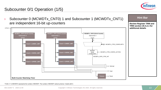

## Subcounter 0/1 Operation (1/5)



<sup>1</sup> Prefix "x" in MCWDTx represents the number of MCWDT. The number of MCWDT varies by device. It starts with 0.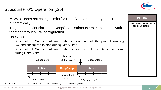

**Review TRM section 20.4.5 for additional details**

**Hint Bar** 

### Subcounter 0/1 Operation (2/5)

- MCWDT does not change limits for DeepSleep mode entry or exit automatically
- › To get a behavior similar to DeepSleep, subcounters 0 and 1 can work together through SW configuration<sup>1</sup>
- Use Case
	- Subcounter 0: Can be configured with a timeout threshold that protects running SW and configured to stop during DeepSleep
	- Subcounter 1: Can be configured with a longer timeout that continues to operate during DeepSleep



<sup>1</sup> One MCWDT block can be associated to one CPU. This selects which CPU SLEEPDEEP signal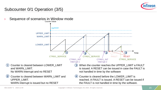

# Subcounter 0/1 Operation (3/5)

Sequence of scenarios in Window mode

Counter is cleared between WARN\_LIMIT and

WARN interrupt is issued but no RESET



– Counter is cleared before the LOWER\_LIMIT is reached. A FAULT is issued. A RESET can be issued if the FAULT is not handled in time by the software.  $(4)$ 

1

 $(2)$ 

UPPER\_LIMIT.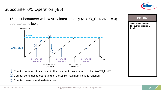

**Review TRM section 20.4.2.1 for additional** 

**Hint Bar** 

**details**

# Subcounter 0/1 Operation (4/5)

 $\rightarrow$  16-bit subcounters with WARN interrupt only (AUTO\_SERVICE = 0) operate as follows:



1) Counter continues to increment after the counter value matches the WARN\_LIMIT

- 2) Counter continues to count up until the 16-bit maximum value is reached
- 3) Counter overruns and restarts at zero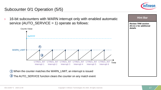

# Subcounter 0/1 Operation (5/5)

› 16-bit subcounters with WARN interrupt only with enabled automatic service (AUTO  $SERVICE = 1$ ) operate as follows:



**Review TRM section 20.4.2.1 for additional details**

**Hint Bar** 

1) When the counter matches the WARN\_LIMIT, an interrupt is issued 2) The AUTO\_SERVICE function clears the counter on any match event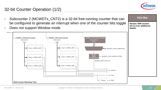

## 32-bit Counter Operation (1/2)

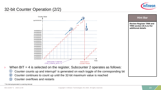

# 32-bit Counter Operation (2/2)



– Counter overflows and restarts 3

<sup>1</sup> The interrupt generated is a warning interrupt

 $(1)$ 2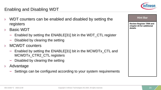# Enabling and Disabling WDT

- WDT counters can be enabled and disabled by setting the registers
- **Basic WDT** 
	- Enabled by setting the ENABLE[31] bit in the WDT\_CTL register
	- Disabled by clearing the setting
- MCWDT counters
	- Enabled by setting the ENABLE[31] bit in the MCWDTx\_CTL and MCWDTx\_CTR2\_CTL registers
	- Disabled by clearing the setting
- › Advantage
	- Settings can be configured according to your system requirements



**Review Register TRM and chapter 20 for additional** 

**Hint Bar** 

**details**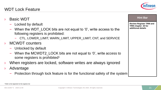#### WDT Lock Feature

- **Basic WDT** 
	- Locked by default
	- When the WDT\_LOCK bits are not equal to '0', write access to the following registers is prohibited:
		- CTL, LOWER\_LIMIT, WARN\_LIMIT, UPPER\_LIMIT, CNT, and SERVICE
- MCWDT counters
	- Unlocked by default
	- When the MCWDT2\_LOCK bits are not equal to '0', write access to some registers is prohibited<sup>1</sup>
- When registers are locked, software writes are always ignored
- **Advantage** 
	- Protection through lock feature is for the functional safety of the system

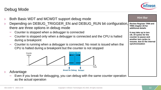#### Debug Mode



| Both Basic WDT and MCWDT support debug mode                                                                                                                                     | <b>Hint Bar</b>                                                                                                                                   |
|---------------------------------------------------------------------------------------------------------------------------------------------------------------------------------|---------------------------------------------------------------------------------------------------------------------------------------------------|
| Depending on DEBUG_TRIGGER_EN and DEBUG_RUN bit configuration,<br>there are three options in debug mode                                                                         | <b>Review Register TRM and</b><br>TRM chapter 20 for<br>additional details                                                                        |
| Counter is stopped when a debugger is connected<br>Counter is stopped only when a debugger is connected and the CPU is halted<br>during a breakpoint                            | It may take up to two<br>clk_hf cycles for the<br>counter to pause and<br>another two cycles to<br>resume, due to the internal<br>synchronization |
| Counter is running when a debugger is connected. No reset is issued when the<br>÷<br>CPU is halted during a breakpoint but the counter is not stopped<br>Counter Stop<br>Counts |                                                                                                                                                   |
| Value<br>Time                                                                                                                                                                   |                                                                                                                                                   |
| <b>Break for Debug Restart</b><br>Advantage<br>Even if you break for debugging, you can debug with the same counter operation<br>as the actual operation                        |                                                                                                                                                   |
| 002-22206 *C 2020-12-09<br>Copyright © Infineon Technologies AG 2020. All rights reserved.                                                                                      | 22                                                                                                                                                |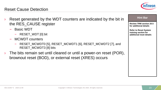

#### Reset Cause Detection

- Reset generated by the WDT counters are indicated by the bit in the RES\_CAUSE register
	- Basic WDT
		- RESET\_WDT [0] bit
	- MCWDT counters
		- RESET\_MCWDT0 [5], RESET\_MCWDT1 [6], RESET\_MCWDT2 [7], and RESET\_MCWDT3 [8] bits
- The bits remain set until cleared or until a power-on reset (POR), brownout reset (BOD), or external reset (XRES) occurs

|--|

**Review TRM section 20.5 for additional details**

**Refer to Reset System training section for additional reset details**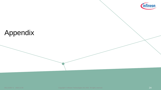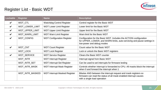

| Lockable                   | <b>Register</b>   | <b>Name</b>                                                     | <b>Description</b>                                                                                                                                                         |
|----------------------------|-------------------|-----------------------------------------------------------------|----------------------------------------------------------------------------------------------------------------------------------------------------------------------------|
| $\checkmark$               | WDT_CTL           | Watchdog Control Register<br>Control register for the Basic WDT |                                                                                                                                                                            |
| $\boldsymbol{\mathcal{U}}$ | WDT_LOWER_LIMIT   | <b>WDT Lower Limit Register</b>                                 | Lower limit for the Basic WDT                                                                                                                                              |
| $\checkmark$               | WDT_UPPER_LIMIT   | <b>WDT Upper Limit Register</b>                                 | Upper limit for the Basic WDT                                                                                                                                              |
| $\boldsymbol{\nu}$         | WDT_WARN_LIMIT    | Warn limit for the Basic WDT<br><b>WDT Warn Limit Register</b>  |                                                                                                                                                                            |
| $\boldsymbol{\mathcal{U}}$ | <b>WDT CONFIG</b> | <b>WDT Configuration Register</b>                               | Configuration for the Basic WDT. Includes the ACTION configuration<br>for UPPER, LOWER, and WARN limits, auto-servicing and pause settings in<br>low-power and debug modes |
| $\boldsymbol{\mathcal{U}}$ | WDT_CNT           | <b>WDT Count Register</b>                                       | Count value for the Basic WDT                                                                                                                                              |
|                            | WDT_LOCK          | <b>WDT Lock Register</b>                                        | Lock or unlock the Basic WDT registers                                                                                                                                     |
| $\boldsymbol{\mathcal{U}}$ | WDT_SERVICE       | <b>WDT Service Register</b>                                     | Clears the Basic WDT counter                                                                                                                                               |
|                            | WDT_INTR          | <b>WDT Interrupt Register</b>                                   | Interrupt signal from Basic WDT                                                                                                                                            |
|                            | WDT_INTR_SET      | <b>WDT Interrupt Set Register</b>                               | Can be used to set interrupts for firmware testing                                                                                                                         |
|                            | WDT_INTR_MASK     | <b>WDT Interrupt Mask Register</b>                              | Controls whether interrupt is forwarded to CPU. All masks block the interrupt<br>when 0 and forward the interrupt when 1                                                   |
|                            | WDT_INTR_MASKED   | <b>WDT Interrupt Masked Register</b>                            | Bitwise AND between the interrupt request and mask registers so<br>firmware can read the status of all mask enabled interrupt causes<br>with a single load operation       |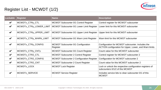| Lockable     | <b>Register</b>         | <b>Name</b>                                      | <b>Description</b>                                                                                         |
|--------------|-------------------------|--------------------------------------------------|------------------------------------------------------------------------------------------------------------|
| $\checkmark$ | MCWDTx_CTRy_CTL         | MCWDT Subcounter 0/1 Control Register            | Control register for MCWDT subcounter                                                                      |
| $\checkmark$ | MCWDTx_CTRy_LOWER_LIMIT | MCWDT Subcounter 0/1 Lower Limit Register        | Lower limit for this MCWDT subcounter                                                                      |
| $\checkmark$ | MCWDTx_CTRy_UPPER_LIMIT | MCWDT Subcounter 0/1 Upper Limit Register        | Upper limit for this MCWDT subcounter                                                                      |
| $\checkmark$ | MCWDTx_CTRy_WARN_LIMIT  | MCWDT Subcounter 0/1 Warn Limit Register         | Warn limit for this MCWDT subcounter                                                                       |
| $\checkmark$ | MCWDTx_CTRy_CONFIG      | MCWDT Subcounter 0/1 Configuration<br>Register   | Configuration for MCWDT subcounter. Includes the<br>ACTION configuration for Upper, Lower, and Warn limits |
| $\checkmark$ | MCWDTx_CTRy_CNTy        | MCWDT Subcounter 0/1 Count Register              | Count value for this MCWDT subcounter                                                                      |
| $\checkmark$ | MCWDTx_CTR2_CTL         | <b>MCWDT Subcounter 2 Control Register</b>       | Control register for MCWDT subcounter 2                                                                    |
| $\checkmark$ | MCWDTx_CTR2_CONFIG      | <b>MCWDT Subcounter 2 Configuration Register</b> | Configuration for MCWDT subcounter 2                                                                       |
| $\checkmark$ | MCWDTx_CTR2_CNT         | <b>MCWDT Subcounter 2 Count Register</b>         | Count value for this MCWDT subcounter 2                                                                    |
|              | MCWDTx LOCK             | <b>MCWDT Lock Register</b>                       | Lock or unlock the respective configuration registers of<br>subcounters 0/1/2 of this MCWDT                |
| $\checkmark$ | MCWDTx_SERVICE          | <b>MCWDT Service Register</b>                    | Includes service bits to clear subcounter 0/1 of this<br><b>MCWDT</b>                                      |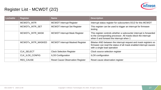

| Lockable | <b>Register</b>    | <b>Name</b>                             | <b>Description</b>                                                                                                                                                             |
|----------|--------------------|-----------------------------------------|--------------------------------------------------------------------------------------------------------------------------------------------------------------------------------|
|          | MCWDTx INTR        | <b>MCWDT</b> Interrupt Register         | Interrupt status register for subcounters 0/1/2 for this MCWDT                                                                                                                 |
|          | MCWDTx_INTR_SET    | <b>MCWDT Interrupt Set Register</b>     | This register can be used to trigger an interrupt for firmware<br>testing                                                                                                      |
|          | MCWDTx_INTR_MASK   | <b>MCWDT Interrupt Mask Register</b>    | This register controls whether a subcounter interrupt is forwarded<br>to the corresponding processor. All masks block the interrupt<br>when 0 and forward the interrupt when 1 |
|          | MCWDTx INTR MASKED | <b>MCWDT Interrupt Masked Register</b>  | Bitwise AND between the interrupt request and mask registers so<br>firmware can read the status of all mask enabled interrupt causes<br>with a single load operation           |
|          | <b>CLK SELECT</b>  | <b>Clock Selection Register</b>         | Clock source selection register                                                                                                                                                |
|          | CLK ILO0 CONFIG    | <b>ILO0 Configuration</b>               | ILO0 configuration                                                                                                                                                             |
|          | <b>RES CAUSE</b>   | <b>Reset Cause Observation Register</b> | Reset cause observation register                                                                                                                                               |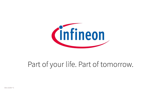

# Part of your life. Part of tomorrow.